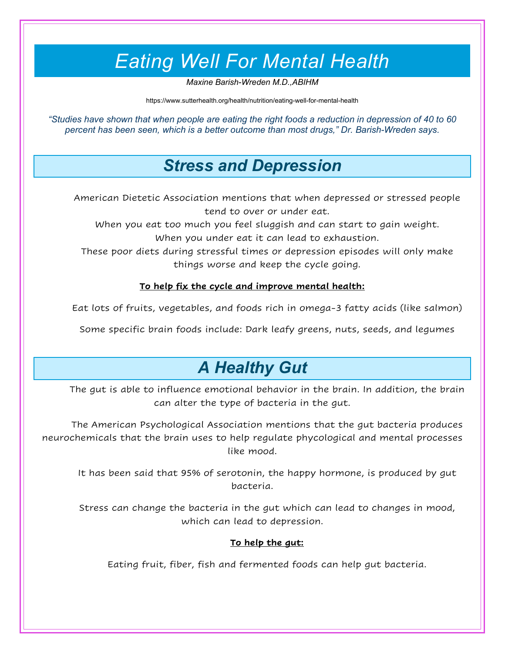# *Eating Well For Mental Health*

*Maxine Barish-Wreden M.D.,ABIHM*

https://www.sutterhealth.org/health/nutrition/eating-well-for-mental-health

*"Studies have shown that when people are eating the right foods a reduction in depression of 40 to 60 percent has been seen, which is a better outcome than most drugs," Dr. Barish-Wreden says.*

### *Stress and Depression*

American Dietetic Association mentions that when depressed or stressed people tend to over or under eat.

When you eat too much you feel sluggish and can start to gain weight. When you under eat it can lead to exhaustion.

These poor diets during stressful times or depression episodes will only make things worse and keep the cycle going.

#### **To help fix the cycle and improve mental health:**

Eat lots of fruits, vegetables, and foods rich in omega-3 fatty acids (like salmon)

Some specific brain foods include: Dark leafy greens, nuts, seeds, and legumes

## *A Healthy Gut*

The gut is able to influence emotional behavior in the brain. In addition, the brain can alter the type of bacteria in the gut.

The American Psychological Association mentions that the gut bacteria produces neurochemicals that the brain uses to help regulate phycological and mental processes like mood.

It has been said that 95% of serotonin, the happy hormone, is produced by gut bacteria.

Stress can change the bacteria in the gut which can lead to changes in mood, which can lead to depression.

#### **To help the gut:**

Eating fruit, fiber, fish and fermented foods can help gut bacteria.